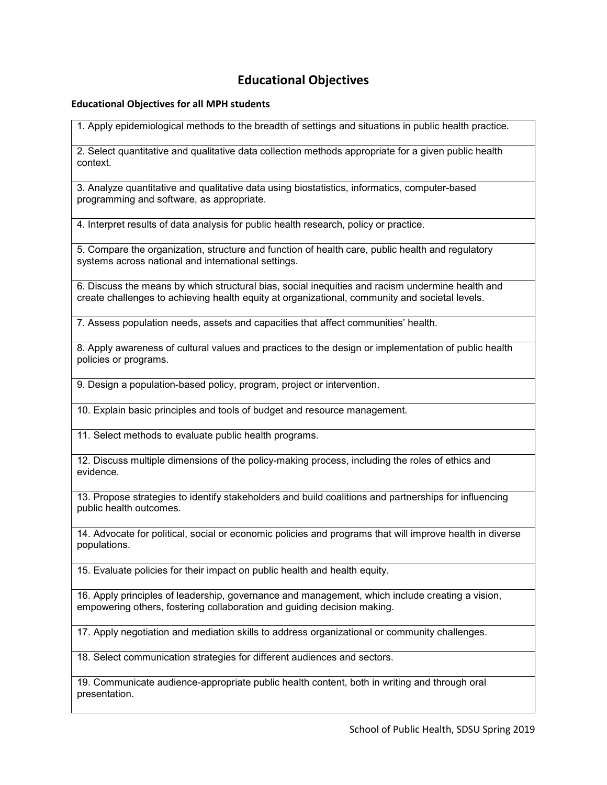## **Educational Objectives**

## **Educational Objectives for all MPH students**

1. Apply epidemiological methods to the breadth of settings and situations in public health practice.

2. Select quantitative and qualitative data collection methods appropriate for a given public health context.

3. Analyze quantitative and qualitative data using biostatistics, informatics, computer-based programming and software, as appropriate.

4. Interpret results of data analysis for public health research, policy or practice.

5. Compare the organization, structure and function of health care, public health and regulatory systems across national and international settings.

6. Discuss the means by which structural bias, social inequities and racism undermine health and create challenges to achieving health equity at organizational, community and societal levels.

7. Assess population needs, assets and capacities that affect communities' health.

8. Apply awareness of cultural values and practices to the design or implementation of public health policies or programs.

9. Design a population-based policy, program, project or intervention.

10. Explain basic principles and tools of budget and resource management.

11. Select methods to evaluate public health programs.

12. Discuss multiple dimensions of the policy-making process, including the roles of ethics and evidence.

13. Propose strategies to identify stakeholders and build coalitions and partnerships for influencing public health outcomes.

14. Advocate for political, social or economic policies and programs that will improve health in diverse populations.

15. Evaluate policies for their impact on public health and health equity.

16. Apply principles of leadership, governance and management, which include creating a vision, empowering others, fostering collaboration and guiding decision making.

17. Apply negotiation and mediation skills to address organizational or community challenges.

18. Select communication strategies for different audiences and sectors.

19. Communicate audience-appropriate public health content, both in writing and through oral presentation.